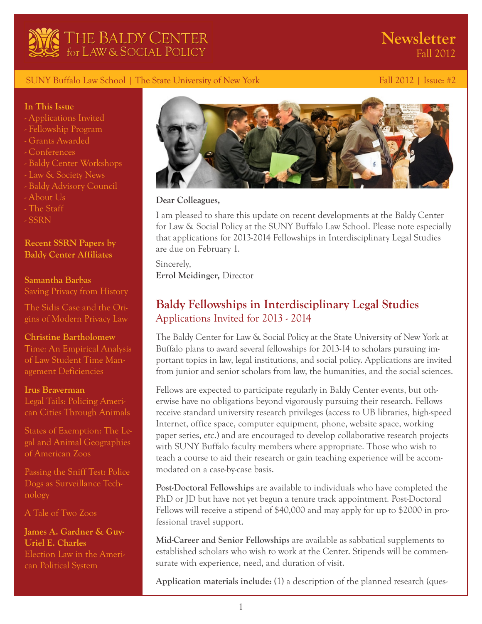

### SUNY Buffalo Law School | The State University of New York Fall 2012 | Issue: #2

#### **In This Issue**

- Applications Invited
- Fellowship Program
- Grants Awarded
- Conferences
- Baldy Center Workshops
- Law & Society News
- Baldy Advisory Council
- About Us
- The Staff
- SSRN

### **Recent SSRN Papers by Baldy Center Affiliates**

**Samantha Barbas** Saving Privacy from History

The Sidis Case and the Origins of Modern Privacy Law

#### **Christine Bartholomew**

Time: An Empirical Analysis of Law Student Time Management Deficiencies

### **Irus Braverman**

Legal Tails: Policing American Cities Through Animals

States of Exemption: The Legal and Animal Geographies of American Zoos

Passing the Sniff Test: Police Dogs as Surveillance Technology

A Tale of Two Zoos

**James A. Gardner & Guy-Uriel E. Charles** Election Law in the American Political System



### **Dear Colleagues,**

I am pleased to share this update on recent developments at the Baldy Center for Law & Social Policy at the SUNY Buffalo Law School. Please note especially that applications for 2013-2014 Fellowships in Interdisciplinary Legal Studies are due on February 1.

Sincerely, **Errol Meidinger,** Director

# **Baldy Fellowships in Interdisciplinary Legal Studies** Applications Invited for 2013 - 2014

The Baldy Center for Law & Social Policy at the State University of New York at Buffalo plans to award several fellowships for 2013-14 to scholars pursuing important topics in law, legal institutions, and social policy. Applications are invited from junior and senior scholars from law, the humanities, and the social sciences.

Fellows are expected to participate regularly in Baldy Center events, but otherwise have no obligations beyond vigorously pursuing their research. Fellows receive standard university research privileges (access to UB libraries, high-speed Internet, office space, computer equipment, phone, website space, working paper series, etc.) and are encouraged to develop collaborative research projects with SUNY Buffalo faculty members where appropriate. Those who wish to teach a course to aid their research or gain teaching experience will be accommodated on a case-by-case basis.

**Post-Doctoral Fellowships** are available to individuals who have completed the PhD or JD but have not yet begun a tenure track appointment. Post-Doctoral Fellows will receive a stipend of \$40,000 and may apply for up to \$2000 in professional travel support.

**Mid-Career and Senior Fellowships** are available as sabbatical supplements to established scholars who wish to work at the Center. Stipends will be commensurate with experience, need, and duration of visit.

**Application materials include:** (1) a description of the planned research (ques-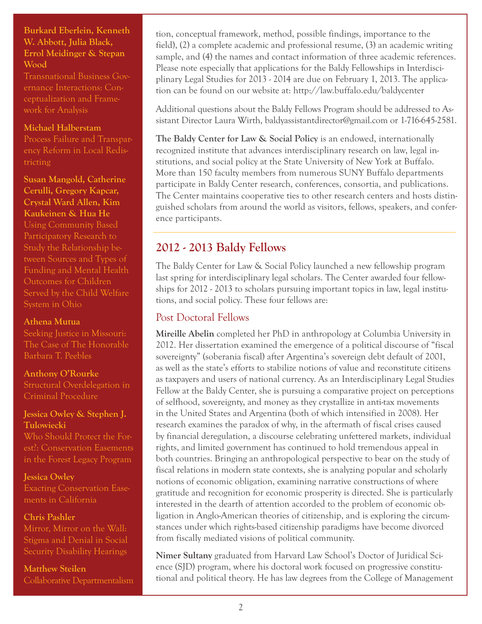### **Burkard Eberlein, Kenneth W. Abbott, Julia Black, Errol Meidinger & Stepan Wood**

Transnational Business Governance Interactions: Conceptualization and Framework for Analysis

#### **Michael Halberstam**

Process Failure and Transparency Reform in Local Redistricting

**Susan Mangold, Catherine Cerulli, Gregory Kapcar, Crystal Ward Allen, Kim Kaukeinen & Hua He** 

Using Community Based Participatory Research to Study the Relationship between Sources and Types of Funding and Mental Health Outcomes for Children Served by the Child Welfare System in Ohio

### **Athena Mutua**

Seeking Justice in Missouri: The Case of The Honorable Barbara T. Peebles

**Anthony O'Rourke** Structural Overdelegation in Criminal Procedure

### **Jessica Owley & Stephen J. Tulowiecki**

Who Should Protect the Forest?: Conservation Easements in the Forest Legacy Program

**Jessica Owley** Exacting Conservation Easements in California

### **Chris Pashler**

Mirror, Mirror on the Wall: Stigma and Denial in Social Security Disability Hearings

**Matthew Steilen**  Collaborative Departmentalism tion, conceptual framework, method, possible findings, importance to the field), (2) a complete academic and professional resume, (3) an academic writing sample, and (4) the names and contact information of three academic references. Please note especially that applications for the Baldy Fellowships in Interdisciplinary Legal Studies for 2013 - 2014 are due on February 1, 2013. The application can be found on our website at: http://law.buffalo.edu/baldycenter

Additional questions about the Baldy Fellows Program should be addressed to Assistant Director Laura Wirth, baldyassistantdirector@gmail.com or 1-716-645-2581.

**The Baldy Center for Law & Social Policy** is an endowed, internationally recognized institute that advances interdisciplinary research on law, legal institutions, and social policy at the State University of New York at Buffalo. More than 150 faculty members from numerous SUNY Buffalo departments participate in Baldy Center research, conferences, consortia, and publications. The Center maintains cooperative ties to other research centers and hosts distinguished scholars from around the world as visitors, fellows, speakers, and conference participants.

# **2012 - 2013 Baldy Fellows**

The Baldy Center for Law & Social Policy launched a new fellowship program last spring for interdisciplinary legal scholars. The Center awarded four fellowships for 2012 - 2013 to scholars pursuing important topics in law, legal institutions, and social policy. These four fellows are:

### Post Doctoral Fellows

**Mireille Abelin** completed her PhD in anthropology at Columbia University in 2012. Her dissertation examined the emergence of a political discourse of "fiscal sovereignty" (soberania fiscal) after Argentina's sovereign debt default of 2001, as well as the state's efforts to stabilize notions of value and reconstitute citizens as taxpayers and users of national currency. As an Interdisciplinary Legal Studies Fellow at the Baldy Center, she is pursuing a comparative project on perceptions of selfhood, sovereignty, and money as they crystallize in anti-tax movements in the United States and Argentina (both of which intensified in 2008). Her research examines the paradox of why, in the aftermath of fiscal crises caused by financial deregulation, a discourse celebrating unfettered markets, individual rights, and limited government has continued to hold tremendous appeal in both countries. Bringing an anthropological perspective to bear on the study of fiscal relations in modern state contexts, she is analyzing popular and scholarly notions of economic obligation, examining narrative constructions of where gratitude and recognition for economic prosperity is directed. She is particularly interested in the dearth of attention accorded to the problem of economic obligation in Anglo-American theories of citizenship, and is exploring the circumstances under which rights-based citizenship paradigms have become divorced from fiscally mediated visions of political community.

**Nimer Sultany** graduated from Harvard Law School's Doctor of Juridical Science (SJD) program, where his doctoral work focused on progressive constitutional and political theory. He has law degrees from the College of Management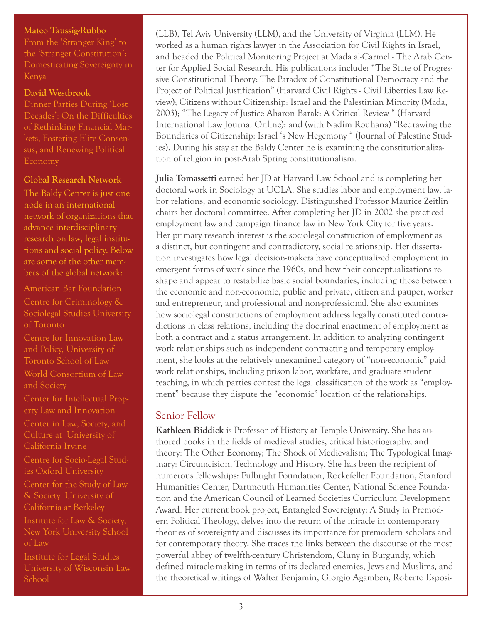### **Mateo Taussig-Rubbo**

From the 'Stranger King' to the 'Stranger Constitution': Domesticating Sovereignty in Kenya

#### **David Westbrook**

Dinner Parties During 'Lost Decades': On the Difficulties of Rethinking Financial Markets, Fostering Elite Consensus, and Renewing Political Economy

### **Global Research Network**

The Baldy Center is just one node in an international network of organizations that advance interdisciplinary research on law, legal institutions and social policy. Below are some of the other members of the global network:

American Bar Foundation Centre for Criminology & Sociolegal Studies University of Toronto

Centre for Innovation Law and Policy, University of Toronto School of Law

World Consortium of Law and Society

Center for Intellectual Property Law and Innovation

Center in Law, Society, and Culture at University of California Irvine

Centre for Socio-Legal Studies Oxford University

Center for the Study of Law & Society University of California at Berkeley

Institute for Law & Society, New York University School of Law

Institute for Legal Studies University of Wisconsin Law School

(LLB), Tel Aviv University (LLM), and the University of Virginia (LLM). He worked as a human rights lawyer in the Association for Civil Rights in Israel, and headed the Political Monitoring Project at Mada al-Carmel - The Arab Center for Applied Social Research. His publications include: "The State of Progressive Constitutional Theory: The Paradox of Constitutional Democracy and the Project of Political Justification" (Harvard Civil Rights - Civil Liberties Law Review); Citizens without Citizenship: Israel and the Palestinian Minority (Mada, 2003); "The Legacy of Justice Aharon Barak: A Critical Review " (Harvard International Law Journal Online); and (with Nadim Rouhana) "Redrawing the Boundaries of Citizenship: Israel 's New Hegemony " (Journal of Palestine Studies). During his stay at the Baldy Center he is examining the constitutionalization of religion in post-Arab Spring constitutionalism.

**Julia Tomassetti** earned her JD at Harvard Law School and is completing her doctoral work in Sociology at UCLA. She studies labor and employment law, labor relations, and economic sociology. Distinguished Professor Maurice Zeitlin chairs her doctoral committee. After completing her JD in 2002 she practiced employment law and campaign finance law in New York City for five years. Her primary research interest is the sociolegal construction of employment as a distinct, but contingent and contradictory, social relationship. Her dissertation investigates how legal decision-makers have conceptualized employment in emergent forms of work since the 1960s, and how their conceptualizations reshape and appear to restabilize basic social boundaries, including those between the economic and non-economic, public and private, citizen and pauper, worker and entrepreneur, and professional and non-professional. She also examines how sociolegal constructions of employment address legally constituted contradictions in class relations, including the doctrinal enactment of employment as both a contract and a status arrangement. In addition to analyzing contingent work relationships such as independent contracting and temporary employment, she looks at the relatively unexamined category of "non-economic" paid work relationships, including prison labor, workfare, and graduate student teaching, in which parties contest the legal classification of the work as "employment" because they dispute the "economic" location of the relationships.

### Senior Fellow

**Kathleen Biddick** is Professor of History at Temple University. She has authored books in the fields of medieval studies, critical historiography, and theory: The Other Economy; The Shock of Medievalism; The Typological Imaginary: Circumcision, Technology and History. She has been the recipient of numerous fellowships: Fulbright Foundation, Rockefeller Foundation, Stanford Humanities Center, Dartmouth Humanities Center, National Science Foundation and the American Council of Learned Societies Curriculum Development Award. Her current book project, Entangled Sovereignty: A Study in Premodern Political Theology, delves into the return of the miracle in contemporary theories of sovereignty and discusses its importance for premodern scholars and for contemporary theory. She traces the links between the discourse of the most powerful abbey of twelfth-century Christendom, Cluny in Burgundy, which defined miracle-making in terms of its declared enemies, Jews and Muslims, and the theoretical writings of Walter Benjamin, Giorgio Agamben, Roberto Esposi-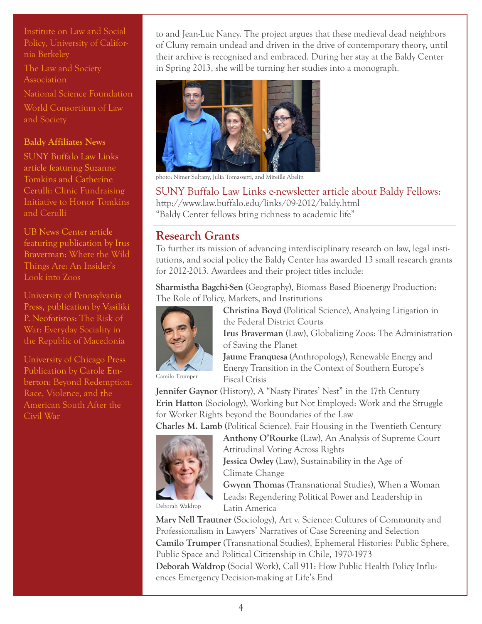Institute on Law and Social Policy, University of California Berkeley

The Law and Society **Association** 

National Science Foundation

World Consortium of Law and Society

### **Baldy Affiliates News**

SUNY Buffalo Law Links article featuring Suzanne Tomkins and Catherine Cerulli: Clinic Fundraising Initiative to Honor Tomkins and Cerulli

UB News Center article featuring publication by Irus Braverman: Where the Wild Things Are: An Insider's Look into Zoos

University of Pennsylvania Press, publication by Vasiliki P. Neofotistos: The Risk of War: Everyday Sociality in the Republic of Macedonia

University of Chicago Press Publication by Carole Emberton: Beyond Redemption: Race, Violence, and the American South After the Civil War

to and Jean-Luc Nancy. The project argues that these medieval dead neighbors of Cluny remain undead and driven in the drive of contemporary theory, until their archive is recognized and embraced. During her stay at the Baldy Center in Spring 2013, she will be turning her studies into a monograph.



photo: Nimer Sultany, Julia Tomassetti, and Mireille Abelin

SUNY Buffalo Law Links e-newsletter article about Baldy Fellows: http://www.law.buffalo.edu/links/09-2012/baldy.html "Baldy Center fellows bring richness to academic life"

### **Research Grants**

To further its mission of advancing interdisciplinary research on law, legal institutions, and social policy the Baldy Center has awarded 13 small research grants for 2012-2013. Awardees and their project titles include:

**Sharmistha Bagchi-Sen** (Geography), Biomass Based Bioenergy Production: The Role of Policy, Markets, and Institutions



**Christina Boyd** (Political Science), Analyzing Litigation in the Federal District Courts

**Irus Braverman** (Law), Globalizing Zoos: The Administration of Saving the Planet

**Jaume Franquesa** (Anthropology), Renewable Energy and Energy Transition in the Context of Southern Europe's Fiscal Crisis

Camilo Trumper

**Jennifer Gaynor** (History), A "Nasty Pirates' Nest" in the 17th Century **Erin Hatton** (Sociology), Working but Not Employed: Work and the Struggle for Worker Rights beyond the Boundaries of the Law

**Charles M. Lamb** (Political Science), Fair Housing in the Twentieth Century



Deborah Waldrop

**Anthony O'Rourke** (Law), An Analysis of Supreme Court Attitudinal Voting Across Rights **Jessica Owley** (Law), Sustainability in the Age of Climate Change **Gwynn Thomas** (Transnational Studies), When a Woman Leads: Regendering Political Power and Leadership in Latin America

**Mary Nell Trautner** (Sociology), Art v. Science: Cultures of Community and Professionalism in Lawyers' Narratives of Case Screening and Selection **Camilo Trumper** (Transnational Studies), Ephemeral Histories: Public Sphere, Public Space and Political Citizenship in Chile, 1970-1973 **Deborah Waldrop** (Social Work), Call 911: How Public Health Policy Influences Emergency Decision-making at Life's End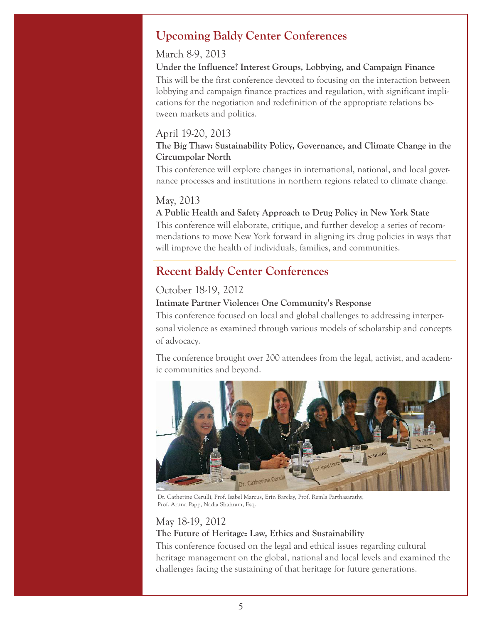# **Upcoming Baldy Center Conferences**

### March 8-9, 2013

**Under the Influence? Interest Groups, Lobbying, and Campaign Finance** This will be the first conference devoted to focusing on the interaction between lobbying and campaign finance practices and regulation, with significant implications for the negotiation and redefinition of the appropriate relations between markets and politics.

### April 19-20, 2013

### **The Big Thaw: Sustainability Policy, Governance, and Climate Change in the Circumpolar North**

This conference will explore changes in international, national, and local governance processes and institutions in northern regions related to climate change.

# May, 2013

### **A Public Health and Safety Approach to Drug Policy in New York State**

This conference will elaborate, critique, and further develop a series of recommendations to move New York forward in aligning its drug policies in ways that will improve the health of individuals, families, and communities.

# **Recent Baldy Center Conferences**

# October 18-19, 2012

### **Intimate Partner Violence: One Community's Response**

This conference focused on local and global challenges to addressing interpersonal violence as examined through various models of scholarship and concepts of advocacy.

The conference brought over 200 attendees from the legal, activist, and academic communities and beyond.



Dr. Catherine Cerulli, Prof. Isabel Marcus, Erin Barclay, Prof. Remla Parthasarathy, Prof. Aruna Papp, Nadia Shahram, Esq.

# May 18-19, 2012

### **The Future of Heritage: Law, Ethics and Sustainability**

This conference focused on the legal and ethical issues regarding cultural heritage management on the global, national and local levels and examined the challenges facing the sustaining of that heritage for future generations.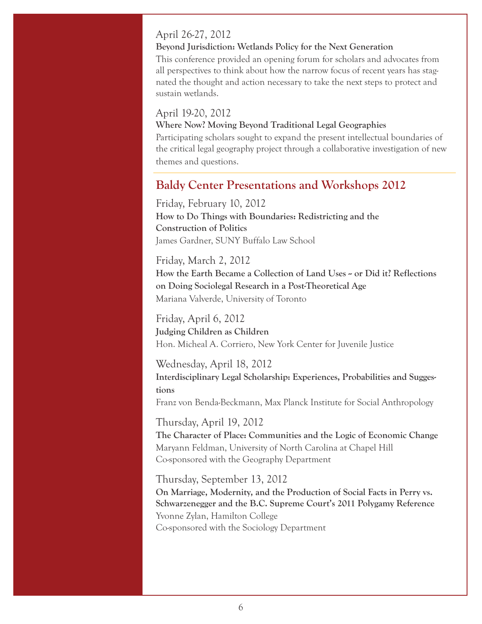### April 26-27, 2012

#### **Beyond Jurisdiction: Wetlands Policy for the Next Generation**

This conference provided an opening forum for scholars and advocates from all perspectives to think about how the narrow focus of recent years has stagnated the thought and action necessary to take the next steps to protect and sustain wetlands.

### April 19-20, 2012

### **Where Now? Moving Beyond Traditional Legal Geographies**

Participating scholars sought to expand the present intellectual boundaries of the critical legal geography project through a collaborative investigation of new themes and questions.

# **Baldy Center Presentations and Workshops 2012**

Friday, February 10, 2012 **How to Do Things with Boundaries: Redistricting and the Construction of Politics**  James Gardner, SUNY Buffalo Law School

Friday, March 2, 2012 **How the Earth Became a Collection of Land Uses -- or Did it? Reflections on Doing Sociolegal Research in a Post-Theoretical Age** Mariana Valverde, University of Toronto

Friday, April 6, 2012 **Judging Children as Children**  Hon. Micheal A. Corriero, New York Center for Juvenile Justice

Wednesday, April 18, 2012 **Interdisciplinary Legal Scholarship: Experiences, Probabilities and Suggestions**

Franz von Benda-Beckmann, Max Planck Institute for Social Anthropology

Thursday, April 19, 2012 **The Character of Place: Communities and the Logic of Economic Change** Maryann Feldman, University of North Carolina at Chapel Hill Co-sponsored with the Geography Department

Thursday, September 13, 2012

**On Marriage, Modernity, and the Production of Social Facts in Perry vs. Schwarzenegger and the B.C. Supreme Court's 2011 Polygamy Reference** Yvonne Zylan, Hamilton College Co-sponsored with the Sociology Department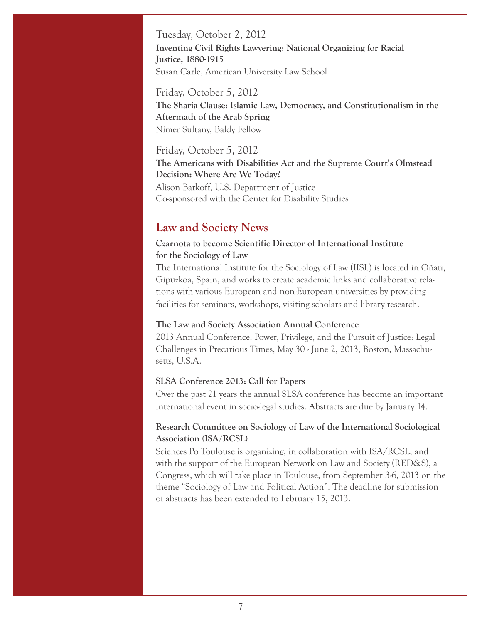Tuesday, October 2, 2012 **Inventing Civil Rights Lawyering: National Organizing for Racial Justice, 1880-1915** Susan Carle, American University Law School

### Friday, October 5, 2012

**The Sharia Clause: Islamic Law, Democracy, and Constitutionalism in the Aftermath of the Arab Spring**  Nimer Sultany, Baldy Fellow

### Friday, October 5, 2012

**The Americans with Disabilities Act and the Supreme Court's Olmstead Decision: Where Are We Today?**  Alison Barkoff, U.S. Department of Justice Co-sponsored with the Center for Disability Studies

# **Law and Society News**

### **Czarnota to become Scientific Director of International Institute for the Sociology of Law**

The International Institute for the Sociology of Law (IISL) is located in Oñati, Gipuzkoa, Spain, and works to create academic links and collaborative relations with various European and non-European universities by providing facilities for seminars, workshops, visiting scholars and library research.

### **The Law and Society Association Annual Conference**

2013 Annual Conference: Power, Privilege, and the Pursuit of Justice: Legal Challenges in Precarious Times, May 30 - June 2, 2013, Boston, Massachusetts, U.S.A.

### **SLSA Conference 2013: Call for Papers**

Over the past 21 years the annual SLSA conference has become an important international event in socio-legal studies. Abstracts are due by January 14.

### **Research Committee on Sociology of Law of the International Sociological Association (ISA/RCSL)**

Sciences Po Toulouse is organizing, in collaboration with ISA/RCSL, and with the support of the European Network on Law and Society (RED&S), a Congress, which will take place in Toulouse, from September 3-6, 2013 on the theme "Sociology of Law and Political Action". The deadline for submission of abstracts has been extended to February 15, 2013.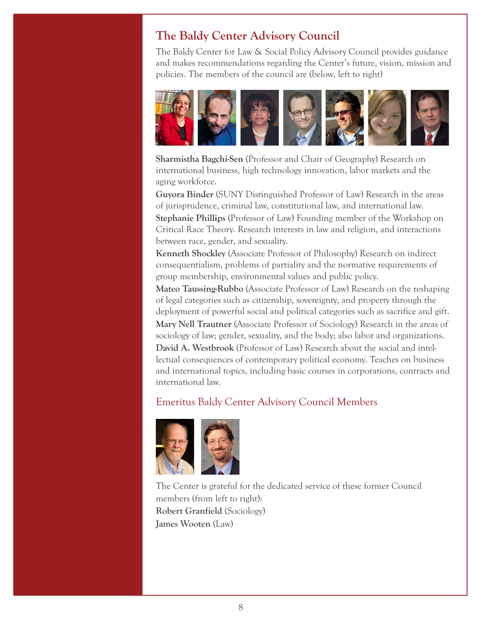# **The Baldy Center Advisory Council**

The Baldy Center for Law & Social Policy Advisory Council provides guidance and makes recommendations regarding the Center's future, vision, mission and policies. The members of the council are (below, left to right)



**Sharmistha Bagchi-Sen** (Professor and Chair of Geography) Research on international business, high technology innovation, labor markets and the aging workforce.

**Guyora Binder** (SUNY Distinguished Professor of Law) Research in the areas of jurisprudence, criminal law, constitutional law, and international law. **Stephanie Phillips** (Professor of Law) Founding member of the Workshop on Critical Race Theory. Research interests in law and religion, and interactions between race, gender, and sexuality.

**Kenneth Shockley** (Associate Professor of Philosophy) Research on indirect consequentialism, problems of partiality and the normative requirements of group membership, environmental values and public policy.

**Mateo Taussing-Rubbo** (Associate Professor of Law) Research on the reshaping of legal categories such as citizenship, sovereignty, and property through the deployment of powerful social and political categories such as sacrifice and gift. **Mary Nell Trautner** (Associate Professor of Sociology) Research in the areas of sociology of law; gender, sexuality, and the body; also labor and organizations. **David A. Westbrook** (Professor of Law) Research about the social and intellectual consequences of contemporary political economy. Teaches on business and international topics, including basic courses in corporations, contracts and international law.

### Emeritus Baldy Center Advisory Council Members



The Center is grateful for the dedicated service of these former Council members (from left to right): **Robert Granfield** (Sociology) **James Wooten** (Law)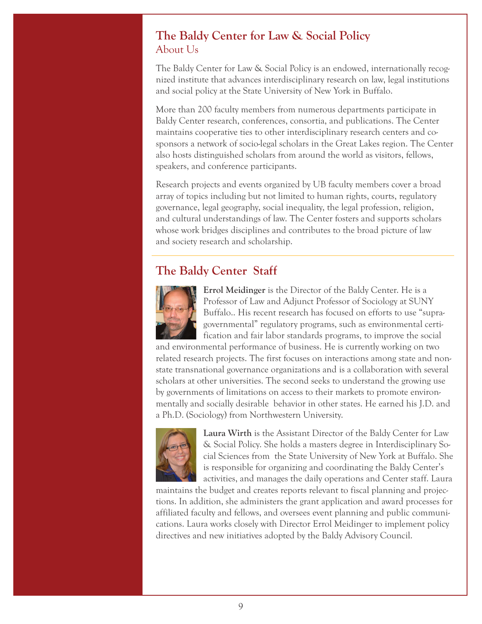# **The Baldy Center for Law & Social Policy** About Us

The Baldy Center for Law & Social Policy is an endowed, internationally recognized institute that advances interdisciplinary research on law, legal institutions and social policy at the State University of New York in Buffalo.

More than 200 faculty members from numerous departments participate in Baldy Center research, conferences, consortia, and publications. The Center maintains cooperative ties to other interdisciplinary research centers and cosponsors a network of socio-legal scholars in the Great Lakes region. The Center also hosts distinguished scholars from around the world as visitors, fellows, speakers, and conference participants.

Research projects and events organized by UB faculty members cover a broad array of topics including but not limited to human rights, courts, regulatory governance, legal geography, social inequality, the legal profession, religion, and cultural understandings of law. The Center fosters and supports scholars whose work bridges disciplines and contributes to the broad picture of law and society research and scholarship.

# **The Baldy Center Staff**



**Errol Meidinger** is the Director of the Baldy Center. He is a Professor of Law and Adjunct Professor of Sociology at SUNY Buffalo.. His recent research has focused on efforts to use "supragovernmental" regulatory programs, such as environmental certification and fair labor standards programs, to improve the social

and environmental performance of business. He is currently working on two related research projects. The first focuses on interactions among state and nonstate transnational governance organizations and is a collaboration with several scholars at other universities. The second seeks to understand the growing use by governments of limitations on access to their markets to promote environmentally and socially desirable behavior in other states. He earned his J.D. and a Ph.D. (Sociology) from Northwestern University.



**Laura Wirth** is the Assistant Director of the Baldy Center for Law & Social Policy. She holds a masters degree in Interdisciplinary Social Sciences from the State University of New York at Buffalo. She is responsible for organizing and coordinating the Baldy Center's activities, and manages the daily operations and Center staff. Laura

maintains the budget and creates reports relevant to fiscal planning and projections. In addition, she administers the grant application and award processes for affiliated faculty and fellows, and oversees event planning and public communications. Laura works closely with Director Errol Meidinger to implement policy directives and new initiatives adopted by the Baldy Advisory Council.